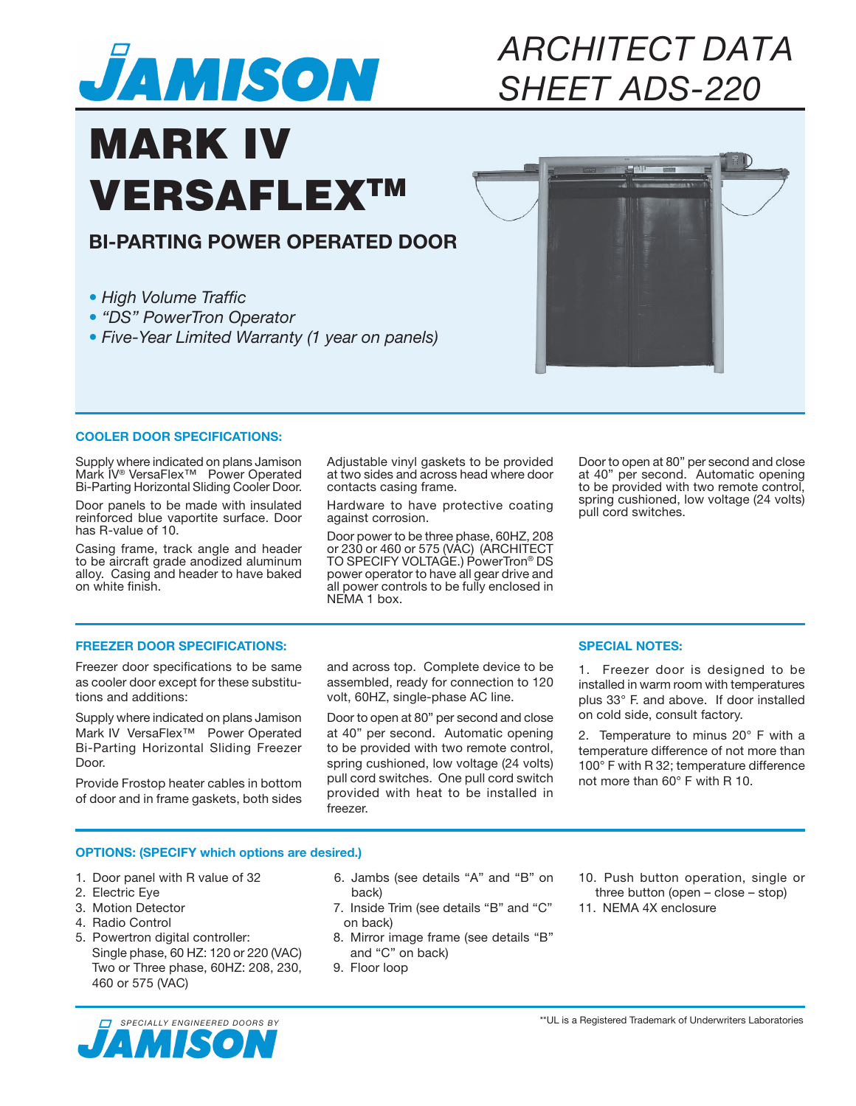

## *ARCHITECT DATA SHEET ADS-220*

# MARK IV **VERSAFLEXTM**

### **BI-PARTING POWER OPERATED DOOR**

*• High Volume Traffic*

- *"DS" PowerTron Operator*
- *Five-Year Limited Warranty (1 year on panels)*



#### **COOLER DOOR SPECIFICATIONS:**

Supply where indicated on plans Jamison Mark IV® VersaFlex™ Power Operated Bi-Parting Horizontal Sliding Cooler Door.

Door panels to be made with insulated reinforced blue vaportite surface. Door has R-value of 10.

Casing frame, track angle and header to be aircraft grade anodized aluminum alloy. Casing and header to have baked on white finish.

Adjustable vinyl gaskets to be provided at two sides and across head where door contacts casing frame.

Hardware to have protective coating against corrosion.

Door power to be three phase, 60HZ, 208 or 230 or 460 or 575 (VAC) (ARCHITECT TO SPECIFY VOLTAGE.) PowerTron<sup>®</sup> DS power operator to have all gear drive and all power controls to be fully enclosed in NEMA 1 box.

Door to open at 80" per second and close at 40" per second. Automatic opening to be provided with two remote control, spring cushioned, low voltage (24 volts) pull cord switches.

#### **FREEZER DOOR SPECIFICATIONS:**

Freezer door specifications to be same as cooler door except for these substitutions and additions:

Supply where indicated on plans Jamison Mark IV VersaFlex<sup>™</sup> Power Operated Bi-Parting Horizontal Sliding Freezer Door.

Provide Frostop heater cables in bottom of door and in frame gaskets, both sides

and across top. Complete device to be assembled, ready for connection to 120 volt, 60HZ, single-phase AC line.

Door to open at 80" per second and close at 40" per second. Automatic opening to be provided with two remote control, spring cushioned, low voltage (24 volts) pull cord switches. One pull cord switch provided with heat to be installed in freezer.

#### **SPECIAL NOTES:**

1. Freezer door is designed to be installed in warm room with temperatures plus 33° F. and above. If door installed on cold side, consult factory.

2. Temperature to minus 20° F with a temperature difference of not more than 100° F with R 32; temperature difference not more than 60° F with R 10.

#### **OPTIONS: (SPECIFY which options are desired.)**

- 1. Door panel with R value of 32
- 2. Electric Eye
- 3. Motion Detector
- 4. Radio Control
- 5. Powertron digital controller: Single phase, 60 HZ: 120 or 220 (VAC) Two or Three phase, 60HZ: 208, 230, 460 or 575 (VAC)
- 6. Jambs (see details "A" and "B" on back)
- 7. Inside Trim (see details "B" and "C" on back)
- 8. Mirror image frame (see details "B" and "C" on back)
- 9. Floor loop

10. Push button operation, single or three button (open – close – stop) 11. NEMA 4X enclosure